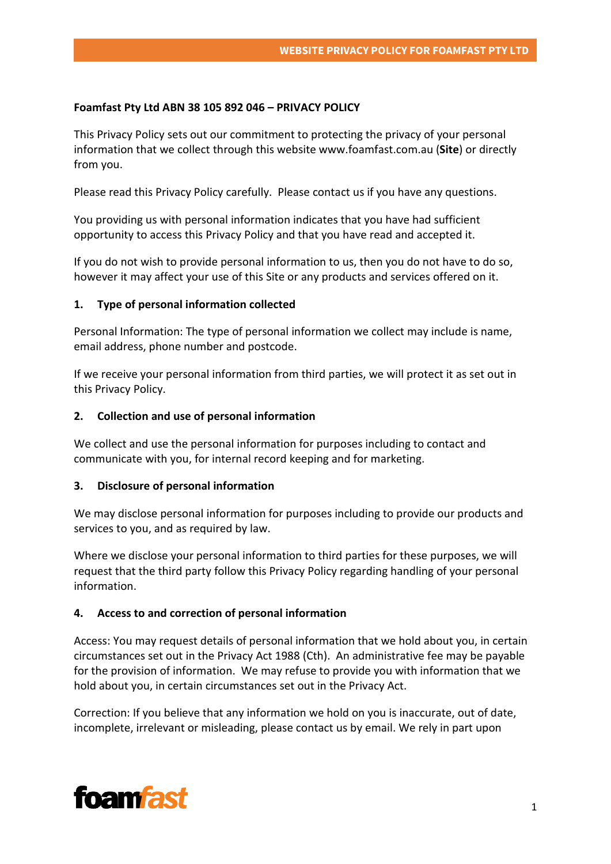# **Foamfast Pty Ltd ABN 38 105 892 046 – PRIVACY POLICY**

This Privacy Policy sets out our commitment to protecting the privacy of your personal information that we collect through this website www.foamfast.com.au (**Site**) or directly from you.

Please read this Privacy Policy carefully. Please contact us if you have any questions.

You providing us with personal information indicates that you have had sufficient opportunity to access this Privacy Policy and that you have read and accepted it.

If you do not wish to provide personal information to us, then you do not have to do so, however it may affect your use of this Site or any products and services offered on it.

# **1. Type of personal information collected**

Personal Information: The type of personal information we collect may include is name, email address, phone number and postcode.

If we receive your personal information from third parties, we will protect it as set out in this Privacy Policy.

## **2. Collection and use of personal information**

We collect and use the personal information for purposes including to contact and communicate with you, for internal record keeping and for marketing.

## **3. Disclosure of personal information**

We may disclose personal information for purposes including to provide our products and services to you, and as required by law.

Where we disclose your personal information to third parties for these purposes, we will request that the third party follow this Privacy Policy regarding handling of your personal information.

## **4. Access to and correction of personal information**

Access: You may request details of personal information that we hold about you, in certain circumstances set out in the Privacy Act 1988 (Cth). An administrative fee may be payable for the provision of information. We may refuse to provide you with information that we hold about you, in certain circumstances set out in the Privacy Act.

Correction: If you believe that any information we hold on you is inaccurate, out of date, incomplete, irrelevant or misleading, please contact us by email. We rely in part upon